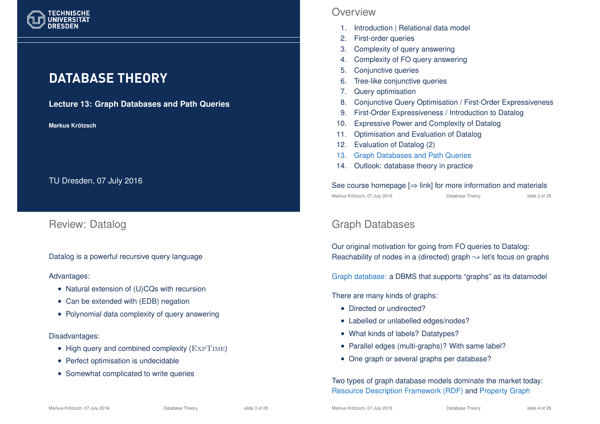

# **DATABASE THEORY**

**Lecture 13: Graph Databases and Path Queries**

**Markus Krotzsch ¨**

TU Dresden, 07 July 2016

### Review: Datalog

Datalog is a powerful recursive query language

Advantages:

- Natural extension of (U)CQs with recursion
- Can be extended with (EDB) negation
- Polynomial data complexity of query answering

#### Disadvantages:

- High query and combined complexity  $(ExPTIME)$
- Perfect optimisation is undecidable
- Somewhat complicated to write queries

### **Overview**

- 1. Introduction | Relational data model
- 2. First-order queries
- 3. Complexity of query answering
- 4. Complexity of FO query answering
- 5. Conjunctive queries
- 6. Tree-like conjunctive queries
- 7. Query optimisation
- 8. Conjunctive Query Optimisation / First-Order Expressiveness
- 9. First-Order Expressiveness / Introduction to Datalog
- 10. Expressive Power and Complexity of Datalog
- 11. Optimisation and Evaluation of Datalog
- 12. Evaluation of Datalog (2)
- 13. Graph Databases and Path Queries
- 14. Outlook: database theory in practice

#### See course homepage  $[\Rightarrow$  link] for more information and materials Markus Krötzsch, 07 July 2016 Database Theory slide 2 of 29

## Graph Databases

Our original motivation for going from FO queries to Datalog: Reachability of nodes in a (directed) graph  $\rightsquigarrow$  let's focus on graphs

Graph database: a DBMS that supports "graphs" as its datamodel

There are many kinds of graphs:

- Directed or undirected?
- Labelled or unlabelled edges/nodes?
- What kinds of labels? Datatypes?
- Parallel edges (multi-graphs)? With same label?
- One graph or several graphs per database?

Two types of graph database models dominate the market today: Resource Description Framework (RDF) and Property Graph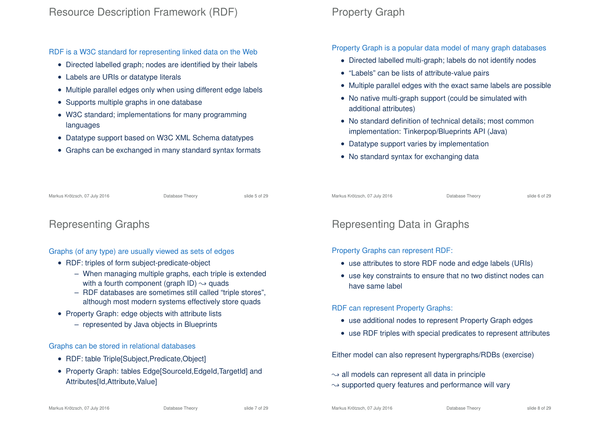RDF is a W3C standard for representing linked data on the Web

- Directed labelled graph; nodes are identified by their labels
- Labels are URIs or datatype literals
- Multiple parallel edges only when using different edge labels
- Supports multiple graphs in one database
- W3C standard; implementations for many programming languages
- Datatype support based on W3C XML Schema datatypes
- Graphs can be exchanged in many standard syntax formats

## Property Graph

Property Graph is a popular data model of many graph databases

- Directed labelled multi-graph; labels do not identify nodes
- "Labels" can be lists of attribute-value pairs
- Multiple parallel edges with the exact same labels are possible
- No native multi-graph support (could be simulated with additional attributes)
- No standard definition of technical details: most common implementation: Tinkerpop/Blueprints API (Java)
- Datatype support varies by implementation
- No standard syntax for exchanging data

Markus Krötzsch, 07 July 2016 **Database Theory** Chronic Control and the State 5 of 29

### Representing Graphs

#### Graphs (of any type) are usually viewed as sets of edges

- RDF: triples of form subject-predicate-object
	- When managing multiple graphs, each triple is extended with a fourth component (graph ID)  $\rightarrow$  quads
	- RDF databases are sometimes still called "triple stores", although most modern systems effectively store quads
- Property Graph: edge objects with attribute lists
	- represented by Java objects in Blueprints

#### Graphs can be stored in relational databases

- RDF: table Triple[Subject, Predicate, Object]
- Property Graph: tables Edge[SourceId,EdgeId,TargetId] and Attributes[Id,Attribute,Value]

#### Markus Krötzsch, 07 July 2016 Database Theory slide 6 of 29

### Representing Data in Graphs

#### Property Graphs can represent RDF:

- use attributes to store RDF node and edge labels (URIs)
- use key constraints to ensure that no two distinct nodes can have same label

#### RDF can represent Property Graphs:

- use additional nodes to represent Property Graph edges
- use RDF triples with special predicates to represent attributes

Either model can also represent hypergraphs/RDBs (exercise)

- $\rightarrow$  all models can represent all data in principle
- $\rightarrow$  supported query features and performance will vary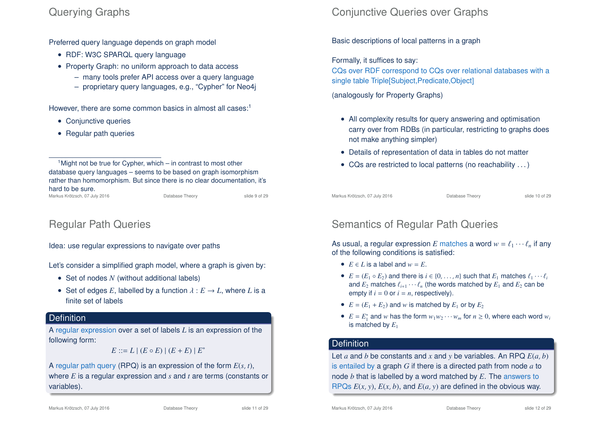### Querying Graphs

Preferred query language depends on graph model

- RDF: W3C SPARQL query language
- Property Graph: no uniform approach to data access
	- many tools prefer API access over a query language
	- proprietary query languages, e.g., "Cypher" for Neo4j

However, there are some common basics in almost all cases:<sup>1</sup>

- Conjunctive queries
- Regular path queries

<sup>1</sup>Might not be true for Cypher, which – in contrast to most other database query languages – seems to be based on graph isomorphism rather than homomorphism. But since there is no clear documentation, it's hard to be sure. Markus Krötzsch, 07 July 2016 Database Theory slide 9 of 29

### Regular Path Queries

Idea: use regular expressions to navigate over paths

Let's consider a simplified graph model, where a graph is given by:

- Set of nodes N (without additional labels)
- Set of edges *E*, labelled by a function  $\lambda : E \to L$ , where *L* is a finite set of labels

#### **Definition**

A regular expression over a set of labels *L* is an expression of the following form:

 $E ::= L \mid (E \circ E) \mid (E + E) \mid E^*$ 

A regular path query (RPQ) is an expression of the form *E*(*s*, *t*), where *E* is a regular expression and *s* and *t* are terms (constants or variables).

# Conjunctive Queries over Graphs

Basic descriptions of local patterns in a graph

Formally, it suffices to say:

CQs over RDF correspond to CQs over relational databases with a single table Triple[Subject,Predicate,Object]

(analogously for Property Graphs)

- All complexity results for query answering and optimisation carry over from RDBs (in particular, restricting to graphs does not make anything simpler)
- Details of representation of data in tables do not matter
- CQs are restricted to local patterns (no reachability . . . )

Markus Krötzsch, 07 July 2016 **Database Theory** Slide 10 of 29

## Semantics of Regular Path Queries

As usual, a regular expression *E* matches a word  $w = \ell_1 \cdots \ell_n$  if any of the following conditions is satisfied:

- $E \in L$  is a label and  $w = E$ .
- $E = (E_1 \circ E_2)$  and there is  $i \in \{0, ..., n\}$  such that  $E_1$  matches  $\ell_1 \cdots \ell_i$ and  $E_2$  matches  $\ell_{i+1} \cdots \ell_n$  (the words matched by  $E_1$  and  $E_2$  can be empty if  $i = 0$  or  $i = n$ , respectively).
- $E = (E_1 + E_2)$  and *w* is matched by  $E_1$  or by  $E_2$
- $E = E_1^*$  and *w* has the form  $w_1w_2 \cdots w_m$  for  $n \ge 0$ , where each word  $w_i$ is matched by *E*<sup>1</sup>

### **Definition**

Let  $a$  and  $b$  be constants and  $x$  and  $y$  be variables. An RPQ  $E(a, b)$ is entailed by a graph *G* if there is a directed path from node *a* to node *b* that is labelled by a word matched by *E*. The answers to RPQs  $E(x, y)$ ,  $E(x, b)$ , and  $E(a, y)$  are defined in the obvious way.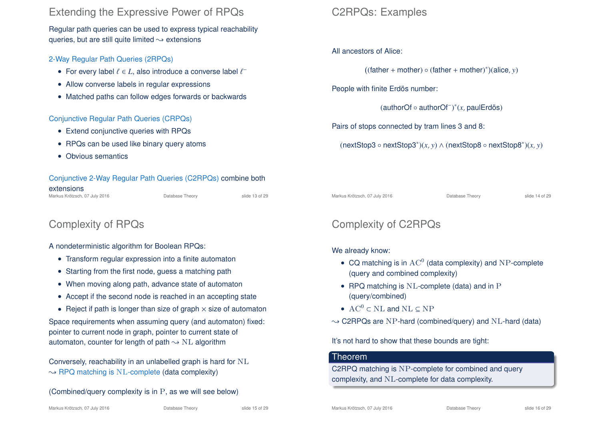### Extending the Expressive Power of RPQs

Regular path queries can be used to express typical reachability queries, but are still quite limited  $\rightsquigarrow$  extensions

### 2-Way Regular Path Queries (2RPQs)

- For every label  $\ell \in L$ , also introduce a converse label  $\ell^-$
- Allow converse labels in regular expressions
- Matched paths can follow edges forwards or backwards

### Conjunctive Regular Path Queries (CRPQs)

- Extend conjunctive queries with RPQs
- RPQs can be used like binary query atoms
- Obvious semantics

#### Conjunctive 2-Way Regular Path Queries (C2RPQs) combine both extensions

Markus Krötzsch, 07 July 2016 **Database Theory** Slide 13 of 29

# Complexity of RPQs

#### A nondeterministic algorithm for Boolean RPQs:

- Transform regular expression into a finite automaton
- Starting from the first node, guess a matching path
- When moving along path, advance state of automaton
- Accept if the second node is reached in an accepting state

• Reject if path is longer than size of graph  $\times$  size of automaton Space requirements when assuming query (and automaton) fixed: pointer to current node in graph, pointer to current state of automaton, counter for length of path  $\sim$  NL algorithm

Conversely, reachability in an unlabelled graph is hard for NL  $\rightarrow$  RPQ matching is NL-complete (data complexity)

(Combined/query complexity is in P, as we will see below)

#### All ancestors of Alice:

 $((\text{father} + \text{mother}) \circ (\text{father} + \text{mother})^*)(\text{alice}, y)$ 

People with finite Erdös number:

(authorOf ◦ authorOf<sup>−</sup> ) ∗ (*x*, paulErdös)

Pairs of stops connected by tram lines 3 and 8:

(nextStop3 ◦ nextStop3<sup>∗</sup> )(*x*, *y*) ∧ (nextStop8 ◦ nextStop8<sup>∗</sup> )(*x*, *y*)

Markus Krötzsch, 07 July 2016 **Database Theory** Slide 14 of 29

## Complexity of C2RPQs

#### We already know:

- CQ matching is in  $AC^0$  (data complexity) and NP-complete (query and combined complexity)
- RPQ matching is NL-complete (data) and in P (query/combined)
- $AC^0 \subset NL$  and  $NL \subset NP$

 $\rightarrow$  C2RPQs are NP-hard (combined/query) and NL-hard (data)

It's not hard to show that these bounds are tight:

#### Theorem

C2RPQ matching is NP-complete for combined and query complexity, and NL-complete for data complexity.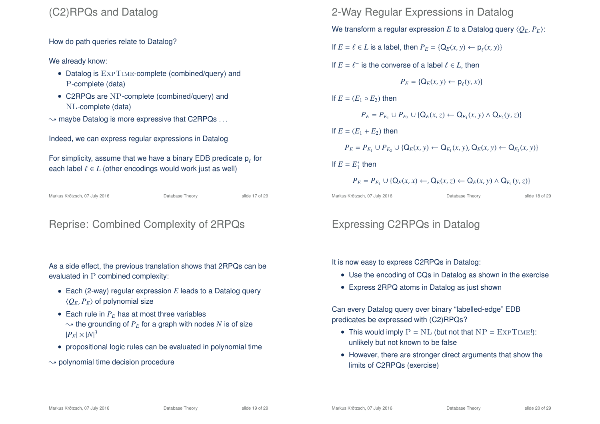### (C2)RPQs and Datalog

How do path queries relate to Datalog?

#### We already know:

- Datalog is  $\text{ExpTime}$ -complete (combined/query) and P-complete (data)
- C2RPQs are NP-complete (combined/query) and NL-complete (data)
- $\rightarrow$  maybe Datalog is more expressive that C2RPQs ...

Indeed, we can express regular expressions in Datalog

For simplicity, assume that we have a binary EDB predicate  $\bm{{\mathsf{p}}}_\ell$  for each label  $\ell \in L$  (other encodings would work just as well)

Markus Krötzsch, 07 July 2016 **Database Theory** Slide 17 of 29

### Reprise: Combined Complexity of 2RPQs

As a side effect, the previous translation shows that 2RPQs can be evaluated in P combined complexity:

- Each (2-way) regular expression *E* leads to a Datalog query  $\langle Q_E, P_E \rangle$  of polynomial size
- Each rule in  $P_E$  has at most three variables  $\rightarrow$  the grounding of  $P_E$  for a graph with nodes *N* is of size  $|P_E| \times |N|^3$
- propositional logic rules can be evaluated in polynomial time
- $\rightarrow$  polynomial time decision procedure

2-Way Regular Expressions in Datalog

We transform a regular expression *E* to a Datalog query  $\langle O_F, P_F \rangle$ :

If  $E = \ell \in L$  is a label, then  $P_E = \{Q_E(x, y) \leftarrow \rho_{\ell}(x, y)\}$ 

If  $E = \ell^-$  is the converse of a label  $\ell \in L$ , then

$$
P_E = \{Q_E(x, y) \leftarrow p_\ell(y, x)\}
$$

If  $E = (E_1 \circ E_2)$  then

$$
P_E = P_{E_1} \cup P_{E_2} \cup \{Q_E(x,z) \leftarrow Q_{E_1}(x,y) \land Q_{E_2}(y,z)\}
$$

If  $E = (E_1 + E_2)$  then

$$
P_E = P_{E_1} \cup P_{E_2} \cup \{Q_E(x, y) \leftarrow Q_{E_1}(x, y), Q_E(x, y) \leftarrow Q_{E_2}(x, y)\}
$$

If  $E = E_1^*$  then

$$
P_E = P_{E_1} \cup \{ \mathsf{Q}_E(x, x) \leftarrow Q_E(x, z) \leftarrow \mathsf{Q}_E(x, y) \land \mathsf{Q}_{E_1}(y, z) \}
$$

Markus Krötzsch, 07 July 2016 **Database Theory** Slide 18 of 29

Expressing C2RPQs in Datalog

It is now easy to express C2RPQs in Datalog:

- Use the encoding of CQs in Datalog as shown in the exercise
- Express 2RPQ atoms in Datalog as just shown

Can every Datalog query over binary "labelled-edge" EDB predicates be expressed with (C2)RPQs?

- This would imply  $P = NL$  (but not that  $NP = EXPTIME!)$ ): unlikely but not known to be false
- However, there are stronger direct arguments that show the limits of C2RPQs (exercise)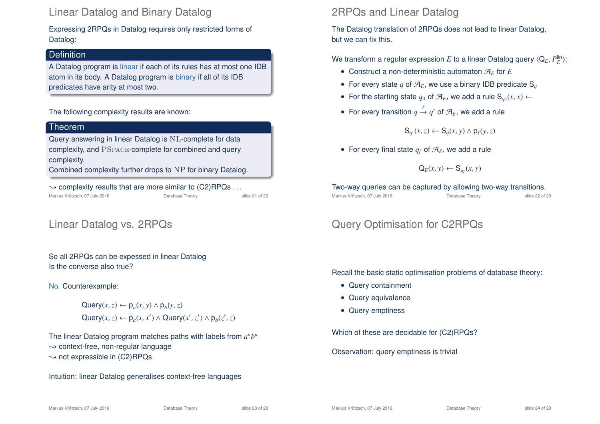### Linear Datalog and Binary Datalog

Expressing 2RPQs in Datalog requires only restricted forms of Datalog:

### **Definition**

A Datalog program is linear if each of its rules has at most one IDB atom in its body. A Datalog program is binary if all of its IDB predicates have arity at most two.

#### The following complexity results are known:

#### Theorem

Query answering in linear Datalog is NL-complete for data complexity, and PSpace-complete for combined and query complexity.

Combined complexity further drops to NP for binary Datalog.

 $\rightarrow$  complexity results that are more similar to (C2)RPQs ... Markus Krötzsch, 07 July 2016 Database Theory slide 21 of 29

## Linear Datalog vs. 2RPQs

So all 2RPQs can be expessed in linear Datalog Is the converse also true?

#### No. Counterexample:

 $\mathsf{Query}(x, z) \leftarrow \mathsf{p}_a(x, y) \land \mathsf{p}_b(y, z)$  $\mathsf{Query}(x, z) \leftarrow \mathsf{p}_a(x, x') \land \mathsf{Query}(x', z') \land \mathsf{p}_b(z', z)$ 

The linear Datalog program matches paths with labels from  $a^n b^n$  $\rightarrow$  context-free, non-regular language  $\rightarrow$  not expressible in (C2)RPQs

Intuition: linear Datalog generalises context-free languages

### 2RPQs and Linear Datalog

The Datalog translation of 2RPQs does not lead to linear Datalog, but we can fix this.

We transform a regular expression  $E$  to a linear Datalog query  $\langle \mathsf{Q}_E, P^{\mathsf{lin}}_E \rangle$ :

- Construct a non-deterministic automaton  $\mathcal{A}_F$  for  $E$
- For every state q of  $\mathcal{A}_E$ , we use a binary IDB predicate S<sub>q</sub>
- For the starting state  $q_0$  of  $\mathcal{A}_E$ , we add a rule  $\mathsf{S}_{q_0}(x,x) \leftarrow$
- For every transition  $q \stackrel{\ell}{\rightarrow} q'$  of  $\mathcal{A}_E$ , we add a rule

 $\mathbf{S}_{q'}(x, z) \leftarrow \mathbf{S}_{q}(x, y) \wedge \mathbf{p}_{\ell}(y, z)$ 

• For every final state  $q_f$  of  $\mathcal{A}_E$ , we add a rule

$$
\mathsf{Q}_E(x,y) \leftarrow \mathsf{S}_{q_f}(x,y)
$$

Two-way queries can be captured by allowing two-way transitions. Markus Krötzsch, 07 July 2016 Database Theory slide 22 of 29

# Query Optimisation for C2RPQs

Recall the basic static optimisation problems of database theory:

- Query containment
- Query equivalence
- Query emptiness

Which of these are decidable for (C2)RPQs?

Observation: query emptiness is trivial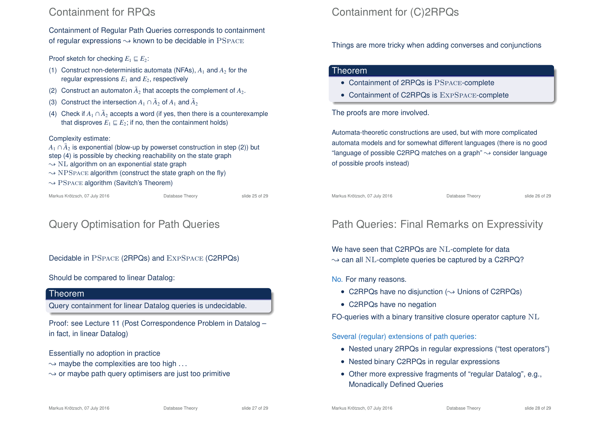### Containment for RPQs

Containment of Regular Path Queries corresponds to containment of regular expressions  $\rightsquigarrow$  known to be decidable in PSPACE

Proof sketch for checking  $E_1 \nightharpoonup E_2$ :

- (1) Construct non-deterministic automata (NFAs),  $A_1$  and  $A_2$  for the regular expressions  $E_1$  and  $E_2$ , respectively
- (2) Construct an automaton  $\bar{A}_2$  that accepts the complement of  $A_2$ .
- (3) Construct the intersection  $A_1 \cap \bar{A}_2$  of  $A_1$  and  $\bar{A}_2$
- (4) Check if  $A_1 \cap \bar{A}_2$  accepts a word (if yes, then there is a counterexample that disproves  $E_1 \sqsubseteq E_2$ ; if no, then the containment holds)

#### Complexity estimate:

- $A_1 \cap \overline{A}_2$  is exponential (blow-up by powerset construction in step (2)) but
- step (4) is possible by checking reachability on the state graph
- $\sim$  NL algorithm on an exponential state graph
- $\rightarrow$  NPSPACE algorithm (construct the state graph on the fly)
- $\rightarrow$  PSPACE algorithm (Savitch's Theorem)

Markus Krötzsch, 07 July 2016 Database Theory slide 25 of 29

# Query Optimisation for Path Queries

Decidable in PSpace (2RPQs) and ExpSpace (C2RPQs)

### Should be compared to linear Datalog:

#### Theorem

Query containment for linear Datalog queries is undecidable.

Proof: see Lecture 11 (Post Correspondence Problem in Datalog – in fact, in linear Datalog)

Essentially no adoption in practice

- $\rightarrow$  maybe the complexities are too high ...
- $\rightarrow$  or maybe path query optimisers are just too primitive

# Containment for (C)2RPQs

Things are more tricky when adding converses and conjunctions

### Theorem

- Containment of 2RPQs is PSpace-complete
- Containment of C2RPQs is EXPSPACE-complete

The proofs are more involved.

Automata-theoretic constructions are used, but with more complicated automata models and for somewhat different languages (there is no good "language of possible C2RPQ matches on a graph"  $\rightarrow$  consider language of possible proofs instead)

Markus Krötzsch, 07 July 2016 **Database Theory** Slide 26 of 29

# Path Queries: Final Remarks on Expressivity

We have seen that C2RPQs are NL-complete for data  $\rightarrow$  can all NL-complete queries be captured by a C2RPQ?

### No. For many reasons.

- C2RPQs have no disiunction  $(\sim)$  Unions of C2RPQs)
- C2RPQs have no negation

FO-queries with a binary transitive closure operator capture NL

Several (regular) extensions of path queries:

- Nested unary 2RPQs in regular expressions ("test operators")
- Nested binary C2RPQs in regular expressions
- Other more expressive fragments of "regular Datalog", e.g., Monadically Defined Queries